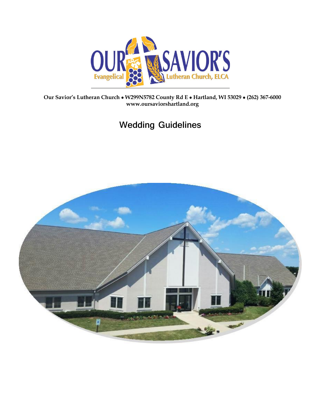

**Our Savior's Lutheran Church** • **W299N5782 County Rd E** • **Hartland, WI 53029** • **(262) 367-6000 www.oursaviorshartland.org**

# **Wedding Guidelines**

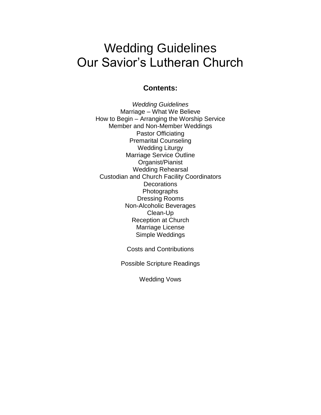# Wedding Guidelines Our Savior's Lutheran Church

# **Contents:**

*Wedding Guidelines* Marriage – What We Believe How to Begin – Arranging the Worship Service Member and Non-Member Weddings Pastor Officiating Premarital Counseling Wedding Liturgy Marriage Service Outline Organist/Pianist Wedding Rehearsal Custodian and Church Facility Coordinators **Decorations** Photographs Dressing Rooms Non-Alcoholic Beverages Clean-Up Reception at Church Marriage License Simple Weddings

Costs and Contributions

Possible Scripture Readings

Wedding Vows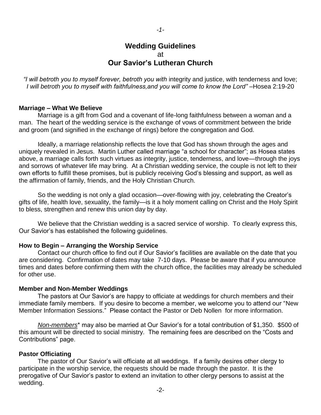# **Wedding Guidelines** at **Our Savior's Lutheran Church**

*"I will betroth you to myself forever, betroth you with* integrity and justice, with tenderness and love; *I will betroth you to myself with faithfulness, and you will come to know the Lord"* – Hosea 2:19-20

#### **Marriage – What We Believe**

Marriage is a gift from God and a covenant of life-long faithfulness between a woman and a man. The heart of the wedding service is the exchange of vows of commitment between the bride and groom (and signified in the exchange of rings) before the congregation and God.

Ideally, a marriage relationship reflects the love that God has shown through the ages and uniquely revealed in Jesus. Martin Luther called marriage "a school for character"; as Hosea states above, a marriage calls forth such virtues as integrity, justice, tenderness, and love—through the joys and sorrows of whatever life may bring. At a Christian wedding service, the couple is not left to their own efforts to fulfill these promises, but is publicly receiving God's blessing and support, as well as the affirmation of family, friends, and the Holy Christian Church.

So the wedding is not only a glad occasion—over-flowing with joy, celebrating the Creator's gifts of life, health love, sexuality, the family—is it a holy moment calling on Christ and the Holy Spirit to bless, strengthen and renew this union day by day.

We believe that the Christian wedding is a sacred service of worship. To clearly express this, Our Savior's has established the following guidelines.

#### **How to Begin – Arranging the Worship Service**

Contact our church office to find out if Our Savior's facilities are available on the date that you are considering. Confirmation of dates may take 7-10 days. Please be aware that if you announce times and dates before confirming them with the church office, the facilities may already be scheduled for other use.

#### **Member and Non-Member Weddings**

The pastors at Our Savior's are happy to officiate at weddings for church members and their immediate family members. If you desire to become a member, we welcome you to attend our "New Member Information Sessions." Please contact the Pastor or Deb Nollen for more information.

*Non-members*\* may also be married at Our Savior's for a total contribution of \$1,350. \$500 of this amount will be directed to social ministry. The remaining fees are described on the "Costs and Contributions" page.

#### **Pastor Officiating**

The pastor of Our Savior's will officiate at all weddings. If a family desires other clergy to participate in the worship service, the requests should be made through the pastor. It is the prerogative of Our Savior's pastor to extend an invitation to other clergy persons to assist at the wedding.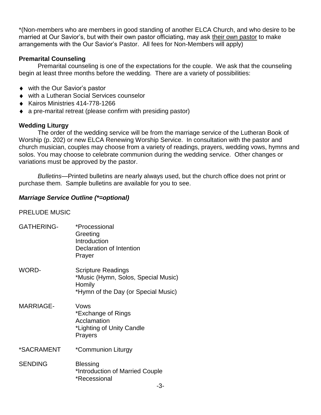\*(Non-members who are members in good standing of another ELCA Church, and who desire to be married at Our Savior's, but with their own pastor officiating, may ask their own pastor to make arrangements with the Our Savior's Pastor. All fees for Non-Members will apply)

### **Premarital Counseling**

Premarital counseling is one of the expectations for the couple. We ask that the counseling begin at least three months before the wedding. There are a variety of possibilities:

- ◆ with the Our Savior's pastor
- with a Lutheran Social Services counselor
- $\triangleleft$  Kairos Ministries 414-778-1266
- a pre-marital retreat (please confirm with presiding pastor)

# **Wedding Liturgy**

The order of the wedding service will be from the marriage service of the Lutheran Book of Worship (p. 202) or new ELCA Renewing Worship Service. In consultation with the pastor and church musician, couples may choose from a variety of readings, prayers, wedding vows, hymns and solos. You may choose to celebrate communion during the wedding service. Other changes or variations must be approved by the pastor.

*Bulletins*—Printed bulletins are nearly always used, but the church office does not print or purchase them. Sample bulletins are available for you to see.

# *Marriage Service Outline (\*=optional)*

# PRELUDE MUSIC

| <b>GATHERING-</b> | *Processional<br>Greeting<br>Introduction<br>Declaration of Intention<br>Prayer                                   |
|-------------------|-------------------------------------------------------------------------------------------------------------------|
| <b>WORD-</b>      | <b>Scripture Readings</b><br>*Music (Hymn, Solos, Special Music)<br>Homily<br>*Hymn of the Day (or Special Music) |
| <b>MARRIAGE-</b>  | Vows<br>*Exchange of Rings<br>Acclamation<br>*Lighting of Unity Candle<br>Prayers                                 |
| *SACRAMENT        | *Communion Liturgy                                                                                                |
| <b>SENDING</b>    | <b>Blessing</b><br>*Introduction of Married Couple<br>*Recessional<br>⌒                                           |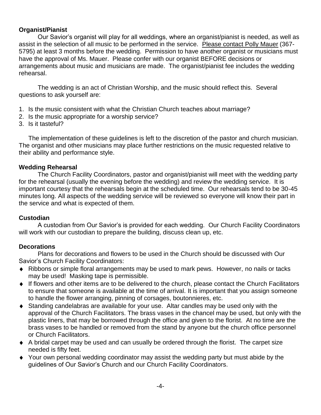### **Organist/Pianist**

Our Savior's organist will play for all weddings, where an organist/pianist is needed, as well as assist in the selection of all music to be performed in the service. Please contact Polly Mauer (367- 5795) at least 3 months before the wedding. Permission to have another organist or musicians must have the approval of Ms. Mauer. Please confer with our organist BEFORE decisions or arrangements about music and musicians are made. The organist/pianist fee includes the wedding rehearsal.

The wedding is an act of Christian Worship, and the music should reflect this. Several questions to ask yourself are:

- 1. Is the music consistent with what the Christian Church teaches about marriage?
- 2. Is the music appropriate for a worship service?
- 3. Is it tasteful?

The implementation of these guidelines is left to the discretion of the pastor and church musician. The organist and other musicians may place further restrictions on the music requested relative to their ability and performance style.

#### **Wedding Rehearsal**

The Church Facility Coordinators, pastor and organist/pianist will meet with the wedding party for the rehearsal (usually the evening before the wedding) and review the wedding service. It is important courtesy that the rehearsals begin at the scheduled time. Our rehearsals tend to be 30-45 minutes long. All aspects of the wedding service will be reviewed so everyone will know their part in the service and what is expected of them.

#### **Custodian**

A custodian from Our Savior's is provided for each wedding. Our Church Facility Coordinators will work with our custodian to prepare the building, discuss clean up, etc.

#### **Decorations**

Plans for decorations and flowers to be used in the Church should be discussed with Our Savior's Church Facility Coordinators:

- Ribbons or simple floral arrangements may be used to mark pews. However, no nails or tacks may be used! Masking tape is permissible.
- If flowers and other items are to be delivered to the church, please contact the Church Facilitators to ensure that someone is available at the time of arrival. It is important that you assign someone to handle the flower arranging, pinning of corsages, boutonnieres, etc.
- Standing candelabras are available for your use. Altar candles may be used only with the approval of the Church Facilitators. The brass vases in the chancel may be used, but only with the plastic liners, that may be borrowed through the office and given to the florist. At no time are the brass vases to be handled or removed from the stand by anyone but the church office personnel or Church Facilitators.
- A bridal carpet may be used and can usually be ordered through the florist. The carpet size needed is fifty feet.
- Your own personal wedding coordinator may assist the wedding party but must abide by the guidelines of Our Savior's Church and our Church Facility Coordinators.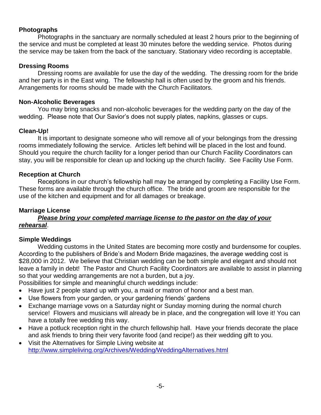### **Photographs**

Photographs in the sanctuary are normally scheduled at least 2 hours prior to the beginning of the service and must be completed at least 30 minutes before the wedding service. Photos during the service may be taken from the back of the sanctuary. Stationary video recording is acceptable.

#### **Dressing Rooms**

Dressing rooms are available for use the day of the wedding. The dressing room for the bride and her party is in the East wing. The fellowship hall is often used by the groom and his friends. Arrangements for rooms should be made with the Church Facilitators.

#### **Non-Alcoholic Beverages**

You may bring snacks and non-alcoholic beverages for the wedding party on the day of the wedding. Please note that Our Savior's does not supply plates, napkins, glasses or cups.

# **Clean-Up!**

It is important to designate someone who will remove all of your belongings from the dressing rooms immediately following the service. Articles left behind will be placed in the lost and found. Should you require the church facility for a longer period than our Church Facility Coordinators can stay, you will be responsible for clean up and locking up the church facility. See Facility Use Form.

#### **Reception at Church**

Receptions in our church's fellowship hall may be arranged by completing a Facility Use Form. These forms are available through the church office. The bride and groom are responsible for the use of the kitchen and equipment and for all damages or breakage.

# **Marriage License**

#### *Please bring your completed marriage license to the pastor on the day of your rehearsal*.

#### **Simple Weddings**

Wedding customs in the United States are becoming more costly and burdensome for couples. According to the publishers of Bride's and Modern Bride magazines, the average wedding cost is \$28,000 in 2012. We believe that Christian wedding can be both simple and elegant and should not leave a family in debt! The Pastor and Church Facility Coordinators are available to assist in planning so that your wedding arrangements are not a burden, but a joy.

Possibilities for simple and meaningful church weddings include:

- Have just 2 people stand up with you, a maid or matron of honor and a best man.
- Use flowers from your garden, or your gardening friends' gardens
- Exchange marriage vows on a Saturday night or Sunday morning during the normal church service! Flowers and musicians will already be in place, and the congregation will love it! You can have a totally free wedding this way.
- Have a potluck reception right in the church fellowship hall. Have your friends decorate the place and ask friends to bring their very favorite food (and recipe!) as their wedding gift to you.
- Visit the Alternatives for Simple Living website at <http://www.simpleliving.org/Archives/Wedding/WeddingAlternatives.html>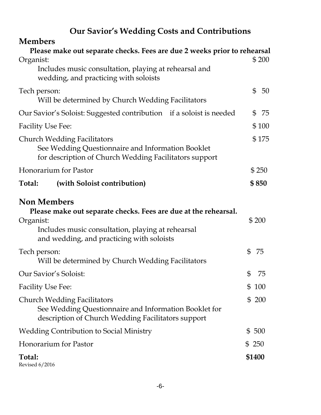# **Our Savior's Wedding Costs and Contributions**

| <b>Members</b>                                                                                                                                                                                       |                |                      |
|------------------------------------------------------------------------------------------------------------------------------------------------------------------------------------------------------|----------------|----------------------|
| Please make out separate checks. Fees are due 2 weeks prior to rehearsal<br>Organist:                                                                                                                |                | \$200                |
| Includes music consultation, playing at rehearsal and<br>wedding, and practicing with soloists                                                                                                       |                |                      |
| Tech person:<br>Will be determined by Church Wedding Facilitators                                                                                                                                    |                | $\mathfrak{S}$<br>50 |
| Our Savior's Soloist: Suggested contribution if a soloist is needed                                                                                                                                  |                | -75<br>$\mathbb S$   |
| <b>Facility Use Fee:</b>                                                                                                                                                                             |                | \$100                |
| <b>Church Wedding Facilitators</b><br>See Wedding Questionnaire and Information Booklet<br>for description of Church Wedding Facilitators support                                                    |                | \$175                |
| Honorarium for Pastor                                                                                                                                                                                |                | \$250                |
| (with Soloist contribution)<br>Total:                                                                                                                                                                |                | \$850                |
| <b>Non Members</b><br>Please make out separate checks. Fees are due at the rehearsal.<br>Organist:<br>Includes music consultation, playing at rehearsal<br>and wedding, and practicing with soloists |                | \$200                |
| Tech person:<br>Will be determined by Church Wedding Facilitators                                                                                                                                    | $\mathfrak{S}$ | 75                   |
| Our Savior's Soloist:                                                                                                                                                                                | \$             | 75                   |
| <b>Facility Use Fee:</b>                                                                                                                                                                             | \$             | 100                  |
| <b>Church Wedding Facilitators</b><br>See Wedding Questionnaire and Information Booklet for<br>description of Church Wedding Facilitators support                                                    |                | \$200                |
| <b>Wedding Contribution to Social Ministry</b>                                                                                                                                                       |                | \$500                |
| Honorarium for Pastor                                                                                                                                                                                | \$ 250         |                      |
| Total:<br><b>Revised 6/2016</b>                                                                                                                                                                      |                | \$1400               |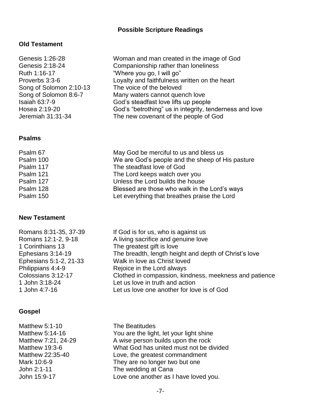# **Possible Scripture Readings**

# **Old Testament**

| Genesis 1:26-28         | Woman and man created in the image of God               |
|-------------------------|---------------------------------------------------------|
| Genesis 2:18-24         | Companionship rather than loneliness                    |
| Ruth 1:16-17            | "Where you go, I will go"                               |
| Proverbs 3:3-6          | Loyalty and faithfulness written on the heart           |
| Song of Solomon 2:10-13 | The voice of the beloved                                |
| Song of Solomon 8:6-7   | Many waters cannot quench love                          |
| <b>Isaiah 63:7-9</b>    | God's steadfast love lifts up people                    |
| Hosea 2:19-20           | God's "betrothing" us in integrity, tenderness and love |
| Jeremiah 31:31-34       | The new covenant of the people of God                   |
|                         |                                                         |

# **Psalms**

| May God be merciful to us and bless us<br>Psalm 67            |  |
|---------------------------------------------------------------|--|
| We are God's people and the sheep of His pasture<br>Psalm 100 |  |
| Psalm 117<br>The steadfast love of God                        |  |
| Psalm 121<br>The Lord keeps watch over you                    |  |
| Unless the Lord builds the house<br>Psalm 127                 |  |
| Psalm 128<br>Blessed are those who walk in the Lord's ways    |  |
| Let everything that breathes praise the Lord<br>Psalm 150     |  |

# **New Testament**

| Romans 8:31-35, 37-39  | If God is for us, who is against us                    |
|------------------------|--------------------------------------------------------|
| Romans 12:1-2, 9-18    | A living sacrifice and genuine love                    |
| 1 Corinthians 13       | The greatest gift is love                              |
| Ephesians 3:14-19      | The breadth, length height and depth of Christ's love  |
| Ephesians 5:1-2, 21-33 | Walk in love as Christ loved                           |
| Philippians 4:4-9      | Rejoice in the Lord always                             |
| Colossians 3:12-17     | Clothed in compassion, kindness, meekness and patience |
| 1 John 3:18-24         | Let us love in truth and action                        |
| 1 John 4:7-16          | Let us love one another for love is of God             |
|                        |                                                        |

# **Gospel**

| Matthew 5:1-10      | The Beatitudes                          |
|---------------------|-----------------------------------------|
| Matthew 5:14-16     | You are the light, let your light shine |
| Matthew 7:21, 24-29 | A wise person builds upon the rock      |
| Matthew 19:3-6      | What God has united must not be divided |
| Matthew 22:35-40    | Love, the greatest commandment          |
| Mark 10:6-9         | They are no longer two but one          |
| John 2:1-11         | The wedding at Cana                     |
| John 15:9-17        | Love one another as I have loved you.   |
|                     |                                         |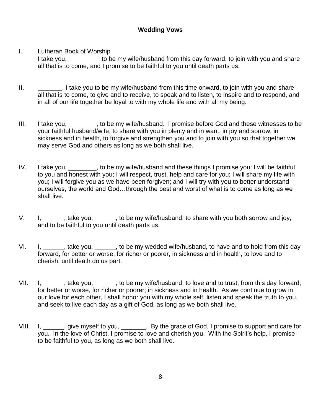# **Wedding Vows**

# I. Lutheran Book of Worship

I take you, to be my wife/husband from this day forward, to join with you and share all that is to come, and I promise to be faithful to you until death parts us.

- II.  $\Box$ , I take you to be my wife/husband from this time onward, to join with you and share all that is to come, to give and to receive, to speak and to listen, to inspire and to respond, and in all of our life together be loyal to with my whole life and with all my being.
- III. I take you, \_\_\_\_\_\_\_, to be my wife/husband. I promise before God and these witnesses to be your faithful husband/wife, to share with you in plenty and in want, in joy and sorrow, in sickness and in health, to forgive and strengthen you and to join with you so that together we may serve God and others as long as we both shall live.
- IV. I take you, \_\_\_\_\_\_\_, to be my wife/husband and these things I promise you: I will be faithful to you and honest with you; I will respect, trust, help and care for you; I will share my life with you; I will forgive you as we have been forgiven; and I will try with you to better understand ourselves, the world and God…through the best and worst of what is to come as long as we shall live.
- V. I, \_\_\_\_\_, take you, \_\_\_\_\_, to be my wife/husband; to share with you both sorrow and joy, and to be faithful to you until death parts us.
- VI. I, \_\_\_\_\_, take you, \_\_\_\_\_, to be my wedded wife/husband, to have and to hold from this day forward, for better or worse, for richer or poorer, in sickness and in health, to love and to cherish, until death do us part.
- VII. I, take you, to be my wife/husband; to love and to trust, from this day forward; for better or worse, for richer or poorer; in sickness and in health. As we continue to grow in our love for each other, I shall honor you with my whole self, listen and speak the truth to you, and seek to live each day as a gift of God, as long as we both shall live.
- VIII. I, \_\_\_\_\_, give myself to you, \_\_\_\_\_\_\_. By the grace of God, I promise to support and care for you. In the love of Christ, I promise to love and cherish you. With the Spirit's help, I promise to be faithful to you, as long as we both shall live.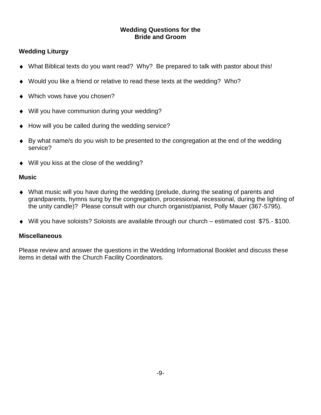#### **Wedding Questions for the Bride and Groom**

# **Wedding Liturgy**

- What Biblical texts do you want read? Why? Be prepared to talk with pastor about this!
- Would you like a friend or relative to read these texts at the wedding? Who?
- Which vows have you chosen?
- Will you have communion during your wedding?
- How will you be called during the wedding service?
- By what name/s do you wish to be presented to the congregation at the end of the wedding service?
- ◆ Will you kiss at the close of the wedding?

# **Music**

- What music will you have during the wedding (prelude, during the seating of parents and grandparents, hymns sung by the congregation, processional, recessional, during the lighting of the unity candle)? Please consult with our church organist/pianist, Polly Mauer (367-5795).
- Will you have soloists? Soloists are available through our church estimated cost \$75.- \$100.

# **Miscellaneous**

Please review and answer the questions in the Wedding Informational Booklet and discuss these items in detail with the Church Facility Coordinators.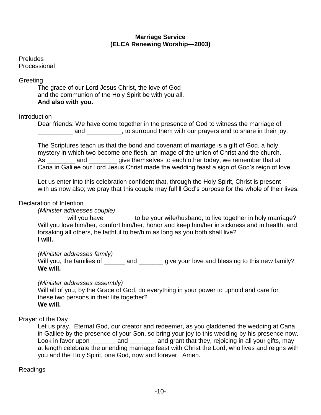#### **Marriage Service (ELCA Renewing Worship—2003)**

Preludes Processional

#### **Greeting**

The grace of our Lord Jesus Christ, the love of God and the communion of the Holy Spirit be with you all. **And also with you.**

#### **Introduction**

Dear friends: We have come together in the presence of God to witness the marriage of \_\_\_\_\_\_\_\_\_\_ and \_\_\_\_\_\_\_\_\_\_, to surround them with our prayers and to share in their joy.

The Scriptures teach us that the bond and covenant of marriage is a gift of God, a holy mystery in which two become one flesh, an image of the union of Christ and the church. As \_\_\_\_\_\_\_\_\_ and \_\_\_\_\_\_\_\_ give themselves to each other today, we remember that at Cana in Galilee our Lord Jesus Christ made the wedding feast a sign of God's reign of love.

Let us enter into this celebration confident that, through the Holy Spirit, Christ is present with us now also; we pray that this couple may fulfill God's purpose for the whole of their lives.

#### Declaration of Intention

*(Minister addresses couple)*

\_\_\_\_\_\_\_\_ will you have \_\_\_\_\_\_\_\_ to be your wife/husband, to live together in holy marriage? Will you love him/her, comfort him/her, honor and keep him/her in sickness and in health, and forsaking all others, be faithful to her/him as long as you both shall live? **I will.**

*(Minister addresses family)*

Will you, the families of  $\frac{1}{2}$  and  $\frac{1}{2}$  and give your love and blessing to this new family? **We will.**

#### *(Minister addresses assembly)*

Will all of you, by the Grace of God, do everything in your power to uphold and care for these two persons in their life together? **We will.**

Prayer of the Day

Let us pray. Eternal God, our creator and redeemer, as you gladdened the wedding at Cana in Galilee by the presence of your Son, so bring your joy to this wedding by his presence now. Look in favor upon \_\_\_\_\_\_\_ and \_\_\_\_\_\_\_, and grant that they, rejoicing in all your gifts, may at length celebrate the unending marriage feast with Christ the Lord, who lives and reigns with you and the Holy Spirit, one God, now and forever. Amen.

Readings